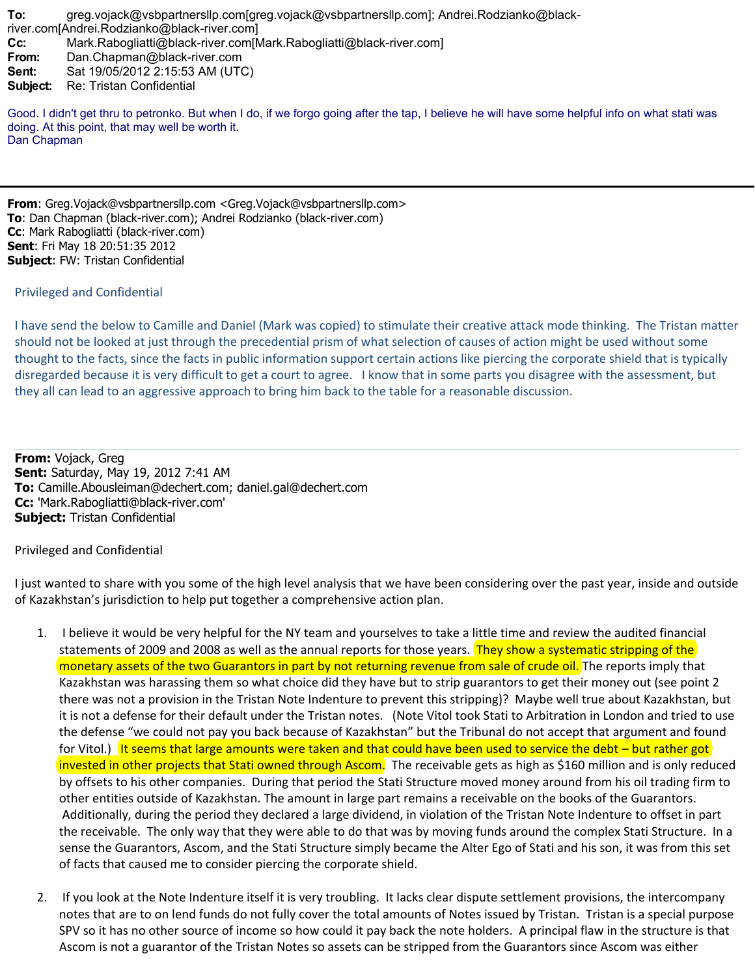**To:** greg.vojack@vsbpartnersllp.com[greg.vojack@vsbpartnersllp.com]; Andrei.Rodzianko@blackriver.com[Andrei.Rodzianko@black-river.com] **Cc:** Mark.Rabogliatti@black-river.com[Mark.Rabogliatti@black-river.com] **From:** Dan.Chapman@black-river.com **Sent:** Sat 19/05/2012 2:15:53 AM (UTC) **Subject:** Re: Tristan Confidential Good. I didn't get thru to petronko. But when I do, if we forgo going after the tap, I believe he will have some helpful info on what stati was

doing. At this point, that may well be worth it. Dan Chapman

**From**: Greg.Vojack@vsbpartnersllp.com <Greg.Vojack@vsbpartnersllp.com> **To**: Dan Chapman (black-river.com); Andrei Rodzianko (black-river.com) **Cc**: Mark Rabogliatti (black-river.com) **Sent**: Fri May 18 20:51:35 2012 **Subject**: FW: Tristan Confidential

## Privileged and Confidential

I have send the below to Camille and Daniel (Mark was copied) to stimulate their creative attack mode thinking. The Tristan matter should not be looked at just through the precedential prism of what selection of causes of action might be used without some thought to the facts, since the facts in public information support certain actions like piercing the corporate shield that is typically disregarded because it is very difficult to get a court to agree. I know that in some parts you disagree with the assessment, but they all can lead to an aggressive approach to bring him back to the table for a reasonable discussion.

**From:** Vojack, Greg **Sent:** Saturday, May 19, 2012 7:41 AM **To:** Camille.Abousleiman@dechert.com; daniel.gal@dechert.com **Cc:** 'Mark.Rabogliatti@black-river.com' **Subject:** Tristan Confidential

Privileged and Confidential

I just wanted to share with you some of the high level analysis that we have been considering over the past year, inside and outside of Kazakhstan's jurisdiction to help put together a comprehensive action plan.

- 1. I believe it would be very helpful for the NY team and yourselves to take a little time and review the audited financial statements of 2009 and 2008 as well as the annual reports for those years. They show a systematic stripping of the monetary assets of the two Guarantors in part by not returning revenue from sale of crude oil. The reports imply that Kazakhstan was harassing them so what choice did they have but to strip guarantors to get their money out (see point 2 there was not a provision in the Tristan Note Indenture to prevent this stripping)? Maybe well true about Kazakhstan, but it is not a defense for their default under the Tristan notes. (Note Vitol took Stati to Arbitration in London and tried to use the defense "we could not pay you back because of Kazakhstan" but the Tribunal do not accept that argument and found for Vitol.) It seems that large amounts were taken and that could have been used to service the debt – but rather got invested in other projects that Stati owned through Ascom. The receivable gets as high as \$160 million and is only reduced by offsets to his other companies. During that period the Stati Structure moved money around from his oil trading firm to other entities outside of Kazakhstan. The amount in large part remains a receivable on the books of the Guarantors. Additionally, during the period they declared a large dividend, in violation of the Tristan Note Indenture to offset in part the receivable. The only way that they were able to do that was by moving funds around the complex Stati Structure. In a sense the Guarantors, Ascom, and the Stati Structure simply became the Alter Ego of Stati and his son, it was from this set of facts that caused me to consider piercing the corporate shield.
- 2. If you look at the Note Indenture itself it is very troubling. It lacks clear dispute settlement provisions, the intercompany notes that are to on lend funds do not fully cover the total amounts of Notes issued by Tristan. Tristan is a special purpose SPV so it has no other source of income so how could it pay back the note holders. A principal flaw in the structure is that Ascom is not a guarantor of the Tristan Notes so assets can be stripped from the Guarantors since Ascom was either